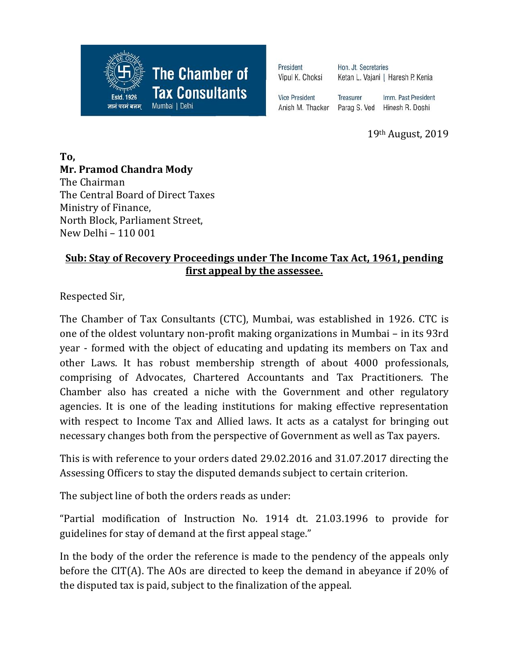

President Vipul K. Choksi

Hon. Jt. Secretaries Ketan L. Vajani | Haresh P. Kenia

**Vice President** Anish M. Thacker

Imm. Past President Treasurer Parag S. Ved Hinesh R. Doshi

19th August, 2019

**To, Mr. Pramod Chandra Mody** The Chairman The Central Board of Direct Taxes Ministry of Finance, North Block, Parliament Street, New Delhi – 110 001

## **Sub: Stay of Recovery Proceedings under The Income Tax Act, 1961, pending first appeal by the assessee.**

Respected Sir,

The Chamber of Tax Consultants (CTC), Mumbai, was established in 1926. CTC is one of the oldest voluntary non-profit making organizations in Mumbai – in its 93rd year - formed with the object of educating and updating its members on Tax and other Laws. It has robust membership strength of about 4000 professionals, comprising of Advocates, Chartered Accountants and Tax Practitioners. The Chamber also has created a niche with the Government and other regulatory agencies. It is one of the leading institutions for making effective representation with respect to Income Tax and Allied laws. It acts as a catalyst for bringing out necessary changes both from the perspective of Government as well as Tax payers.

This is with reference to your orders dated 29.02.2016 and 31.07.2017 directing the Assessing Officers to stay the disputed demands subject to certain criterion.

The subject line of both the orders reads as under:

"Partial modification of Instruction No. 1914 dt. 21.03.1996 to provide for guidelines for stay of demand at the first appeal stage."

In the body of the order the reference is made to the pendency of the appeals only before the CIT(A). The AOs are directed to keep the demand in abeyance if 20% of the disputed tax is paid, subject to the finalization of the appeal.